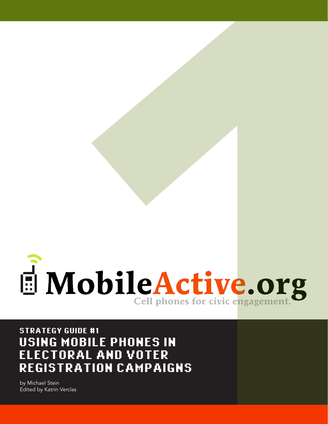

STRATEGY GUIDE #1 USING MOBILE PHONES IN ELECTORAL AND VOTER REGISTRATION CAMPAIGNS

by Michael Stein<br>Edited by Katri<u>n Verclas</u>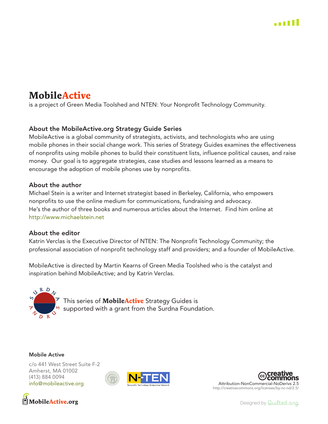# **MobileActive**

is a project of Green Media Toolshed and NTEN: Your Nonprofit Technology Community.

## About the MobileActive.org Strategy Guide Series

MobileActive is a global community of strategists, activists, and technologists who are using mobile phones in their social change work. This series of Strategy Guides examines the effectiveness of nonprofits using mobile phones to build their constituent lists, influence political causes, and raise money. Our goal is to aggregate strategies, case studies and lessons learned as a means to encourage the adoption of mobile phones use by nonprofits.

#### About the author

Michael Stein is a writer and Internet strategist based in Berkeley, California, who empowers nonprofits to use the online medium for communications, fundraising and advocacy. He's the author of three books and numerous articles about the Internet. Find him online at http://www.michaelstein.net

#### About the editor

Katrin Verclas is the Executive Director of NTEN: The Nonprofit Technology Community; the professional association of nonprofit technology staff and providers; and a founder of MobileActive.

MobileActive is directed by Martin Kearns of Green Media Toolshed who is the catalyst and inspiration behind MobileActive; and by Katrin Verclas.



This series of **MobileActive** Strategy Guides is supported with a grant from the Surdna Foundation.

#### **Mobile Active**

c/o 441 West Street Suite F-2 Amherst, MA 01002 (413) 884 0094 info@mobileactive.org







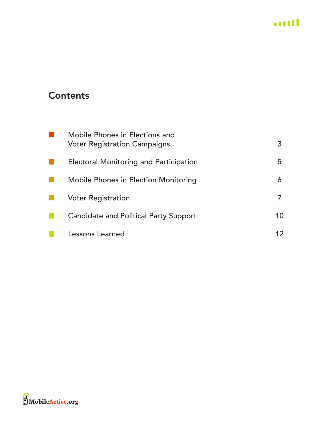

# **Contents**

| Mobile Phones in Elections and<br><b>Voter Registration Campaigns</b> | 3  |
|-----------------------------------------------------------------------|----|
| <b>Electoral Monitoring and Participation</b>                         | 5  |
| Mobile Phones in Election Monitoring                                  | 6  |
| <b>Voter Registration</b>                                             |    |
| <b>Candidate and Political Party Support</b>                          | 10 |
| <b>Lessons Learned</b>                                                | 12 |

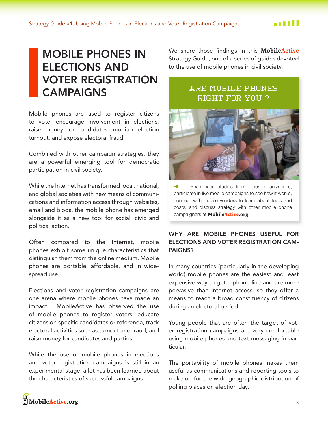# <span id="page-3-0"></span>**MOBILE PHONES IN ELECTIONS AND VOTER REGISTRATION CAMPAIGNS**

Mobile phones are used to register citizens to vote, encourage involvement in elections, raise money for candidates, monitor election turnout, and expose electoral fraud.

Combined with other campaign strategies, they are a powerful emerging tool for democratic participation in civil society.

While the Internet has transformed local, national, and global societies with new means of communications and information access through websites, email and blogs, the mobile phone has emerged alongside it as a new tool for social, civic and political action.

Often compared to the Internet, mobile phones exhibit some unique characteristics that distinguish them from the online medium. Mobile phones are portable, affordable, and in widespread use.

Elections and voter registration campaigns are one arena where mobile phones have made an MobileActive has observed the use impact. of mobile phones to register voters, educate citizens on specific candidates or referenda, track electoral activities such as turnout and fraud, and raise money for candidates and parties.

While the use of mobile phones in elections and voter registration campaigns is still in an experimental stage, a lot has been learned about the characteristics of successful campaigns.

We share those findings in this **MobileActive** Strategy Guide, one of a series of guides devoted to the use of mobile phones in civil society.

# ARE MOBILE PHONES RIGHT FOR YOU?



Read case studies from other organizations, participate in live mobile campaigns to see how it works, connect with mobile vendors to learn about tools and costs, and discuss strategy with other mobile phone campaigners at MobileActive.org

#### WHY ARE MOBILE PHONES USEFUL FOR **ELECTIONS AND VOTER REGISTRATION CAM-PAIGNS?**

In many countries (particularly in the developing world) mobile phones are the easiest and least expensive way to get a phone line and are more pervasive than Internet access, so they offer a means to reach a broad constituency of citizens during an electoral period.

Young people that are often the target of voter registration campaigns are very comfortable using mobile phones and text messaging in particular.

The portability of mobile phones makes them useful as communications and reporting tools to make up for the wide geographic distribution of polling places on election day.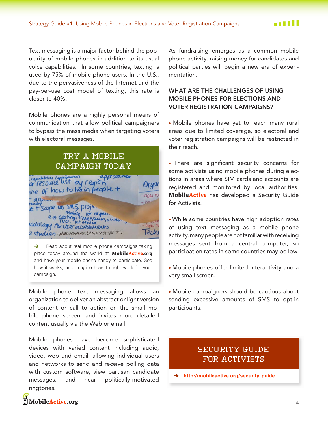Text messaging is a major factor behind the popularity of mobile phones in addition to its usual voice capabilities. In some countries, texting is used by 75% of mobile phone users. In the U.S., due to the pervasiveness of the Internet and the pay-per-use cost model of texting, this rate is closer to 40%.

Mobile phones are a highly personal means of communication that allow political campaigners to bypass the mass media when targeting voters with electoral messages.

TRY A MOBILE CAMPAIGN TODAY capabilities (approvated) Organ ine of how to train people + how to allen  $h$ Scope 46 SMS, proje for organ. i timetranes, chan odology Ariser assessments -how t Tech 2 studies: Whatcomponentemplates for this

 $\rightarrow$ Read about real mobile phone campaigns taking place today around the world at MobileActive.org and have your mobile phone handy to participate. See how it works, and imagine how it might work for your campaign.

Mobile phone text messaging allows an organization to deliver an abstract or light version of content or call to action on the small mobile phone screen, and invites more detailed content usually via the Web or email.

Mobile phones have become sophisticated devices with varied content including audio, video, web and email, allowing individual users and networks to send and receive polling data with custom software, view partisan candidate messages, and hear politically-motivated ringtones.

As fundraising emerges as a common mobile phone activity, raising money for candidates and political parties will begin a new era of experimentation.

#### WHAT ARE THE CHALLENGES OF USING **MOBILE PHONES FOR ELECTIONS AND VOTER REGISTRATION CAMPAIGNS?**

• Mobile phones have yet to reach many rural areas due to limited coverage, so electoral and voter registration campaigns will be restricted in their reach.

• There are significant security concerns for some activists using mobile phones during elections in areas where SIM cards and accounts are registered and monitored by local authorities. MobileActive has developed a Security Guide for Activists.

. While some countries have high adoption rates of using text messaging as a mobile phone activity, many people are not familiar with receiving messages sent from a central computer, so participation rates in some countries may be low.

• Mobile phones offer limited interactivity and a very small screen.

• Mobile campaigners should be cautious about sending excessive amounts of SMS to opt-in participants.

# SECURITY GUIDE FOR ACTIVISTS

http://mobileactive.org/security guide  $\rightarrow$ 

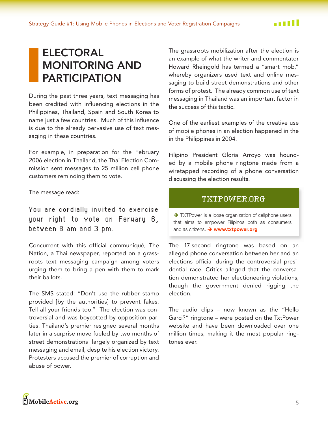# <span id="page-5-0"></span>**ELECTORAL MONITORING AND PARTICIPATION**

During the past three years, text messaging has been credited with influencing elections in the Philippines, Thailand, Spain and South Korea to name just a few countries. Much of this influence is due to the already pervasive use of text messaging in these countries.

For example, in preparation for the February 2006 election in Thailand, the Thai Election Commission sent messages to 25 million cell phone customers reminding them to vote.

The message read:

You are cordially invited to exercise your right to vote on Feruary 6, between 8 am and 3 pm.

Concurrent with this official communiqué, The Nation, a Thai newspaper, reported on a grassroots text messaging campaign among voters urging them to bring a pen with them to mark their ballots.

The SMS stated: "Don't use the rubber stamp provided [by the authorities] to prevent fakes. Tell all your friends too." The election was controversial and was boycotted by opposition parties. Thailand's premier resigned several months later in a surprise move fueled by two months of street demonstrations largely organized by text messaging and email, despite his election victory. Protesters accused the premier of corruption and abuse of power.

The grassroots mobilization after the election is an example of what the writer and commentator Howard Rheingold has termed a "smart mob," whereby organizers used text and online messaging to build street demonstrations and other forms of protest. The already common use of text messaging in Thailand was an important factor in the success of this tactic.

One of the earliest examples of the creative use of mobile phones in an election happened in the in the Philippines in 2004.

Filipino President Gloria Arroyo was hounded by a mobile phone ringtone made from a wiretapped recording of a phone conversation discussing the election results.

## TXTPOWER.ORG

> TXTPower is a loose organization of cellphone users that aims to empower Filipinos both as consumers and as citizens. > www.txtpower.org

The 17-second ringtone was based on an alleged phone conversation between her and an elections official during the controversial presidential race. Critics alleged that the conversation demonstrated her electioneering violations, though the government denied rigging the election.

The audio clips - now known as the "Hello Garci?" ringtone - were posted on the TxtPower website and have been downloaded over one million times, making it the most popular ringtones ever.

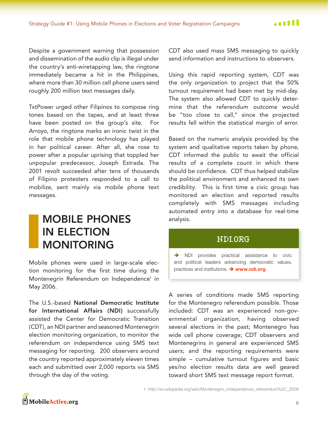Despite a government warning that possession and dissemination of the audio clip is illegal under the country's anti-wiretapping law, the ringtone immediately became a hit in the Philippines, where more than 30 million cell phone users send roughly 200 million text messages daily.

TxtPower urged other Filipinos to compose ring tones based on the tapes, and at least three have been posted on the group's site. For Arroyo, the ringtone marks an ironic twist in the role that mobile phone technology has played in her political career. After all, she rose to power after a popular uprising that toppled her unpopular predecessor, Joseph Estrada. The 2001 revolt succeeded after tens of thousands of Filipino protesters responded to a call to mobilize, sent mainly via mobile phone text messages.

# <span id="page-6-0"></span>**MOBILE PHONES IN ELECTION MONITORING**

Mobile phones were used in large-scale election monitoring for the first time during the Montenegrin Referendum on Independence<sup>1</sup> in May 2006.

The U.S.-based National Democratic Institute for International Affairs (NDI) successfully assisted the Center for Democratic Transition (CDT), an NDI partner and seasoned Montenegrin election monitoring organization, to monitor the referendum on independence using SMS text messaging for reporting. 200 observers around the country reported approximately eleven times each and submitted over 2,000 reports via SMS through the day of the voting.

CDT also used mass SMS messaging to quickly send information and instructions to observers.

Using this rapid reporting system, CDT was the only organization to project that the 50% turnout requirement had been met by mid-day. The system also allowed CDT to quickly determine that the referendum outcome would be "too close to call," since the projected results fell within the statistical margin of error.

Based on the numeric analysis provided by the system and qualitative reports taken by phone, CDT informed the public to await the official results of a complete count in which there should be confidence. CDT thus helped stabilize the political environment and enhanced its own credibility. This is first time a civic group has monitored an election and reported results completely with SMS messages including automated entry into a database for real-time analysis.

## NDI.ORG

> NDI provides practical assistance to civic and political leaders advancing democratic values, practices and institutions. > www.ndi.org

A series of conditions made SMS reporting for the Montenegro referendum possible. Those included: CDT was an experienced non-governmental organization, having observed several elections in the past; Montenegro has wide cell phone coverage; CDT observers and Montenegrins in general are experienced SMS users; and the reporting requirements were simple - cumulative turnout figures and basic yes/no election results data are well geared toward short SMS text message report format.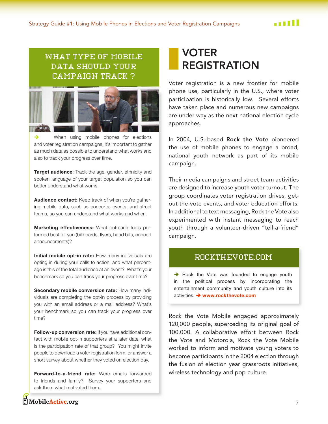# WHAT TYPE OF MOBILE DATA SHOULD YOUR **CAMPAIGN TRACK?**



When using mobile phones for elections and voter registration campaigns, it's important to gather as much data as possible to understand what works and also to track your progress over time.

Target audience: Track the age, gender, ethnicity and spoken language of your target population so you can better understand what works.

Audience contact: Keep track of when you're gathering mobile data, such as concerts, events, and street teams, so you can understand what works and when.

Marketing effectiveness: What outreach tools performed best for you (billboards, flyers, hand bills, concert announcements)?

Initial mobile opt-in rate: How many individuals are opting in during your calls to action, and what percentage is this of the total audience at an event? What's your benchmark so you can track your progress over time?

Secondary mobile conversion rate: How many individuals are completing the opt-in process by providing you with an email address or a mail address? What's your benchmark so you can track your progress over time?

Follow-up conversion rate: If you have additional contact with mobile opt-in supporters at a later date, what is the participation rate of that group? You might invite people to download a voter registration form, or answer a short survey about whether they voted on election day.

Forward-to-a-friend rate: Were emails forwarded to friends and family? Survey your supporters and ask them what motivated them.

# <span id="page-7-0"></span>**VOTER REGISTRATION**

Voter registration is a new frontier for mobile phone use, particularly in the U.S., where voter participation is historically low. Several efforts have taken place and numerous new campaigns are under way as the next national election cycle approaches.

In 2004, U.S.-based Rock the Vote pioneered the use of mobile phones to engage a broad, national youth network as part of its mobile campaign.

Their media campaigns and street team activities are designed to increase youth voter turnout. The group coordinates voter registration drives, getout-the-vote events, and voter education efforts. In additional to text messaging, Rock the Vote also experimented with instant messaging to reach youth through a volunteer-driven "tell-a-friend" campaign.

#### ROCKTHEVOTE.COM

 $\rightarrow$  Rock the Vote was founded to engage youth in the political process by incorporating the entertainment community and youth culture into its activities. → www.rockthevote.com

Rock the Vote Mobile engaged approximately 120,000 people, superceding its original goal of 100,000. A collaborative effort between Rock the Vote and Motorola, Rock the Vote Mobile worked to inform and motivate young voters to become participants in the 2004 election through the fusion of election year grassroots initiatives, wireless technology and pop culture.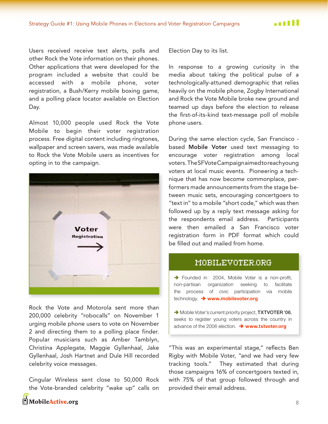Users received receive text alerts, polls and other Rock the Vote information on their phones. Other applications that were developed for the program included a website that could be accessed with a mobile phone, voter registration, a Bush/Kerry mobile boxing game, and a polling place locator available on Election Day.

Almost 10,000 people used Rock the Vote Mobile to begin their voter registration process. Free digital content including ringtones, wallpaper and screen savers, was made available to Rock the Vote Mobile users as incentives for opting in to the campaign.



Rock the Vote and Motorola sent more than 200,000 celebrity "robocalls" on November 1 urging mobile phone users to vote on November 2 and directing them to a polling place finder. Popular musicians such as Amber Tamblyn, Christina Applegate, Maggie Gyllenhaal, Jake Gyllenhaal, Josh Hartnet and Dule Hill recorded celebrity voice messages.

Cingular Wireless sent close to 50,000 Rock the Vote-branded celebrity "wake up" calls on MobileActive.org

Election Day to its list.

In response to a growing curiosity in the media about taking the political pulse of a technologically-attuned demographic that relies heavily on the mobile phone, Zogby International and Rock the Vote Mobile broke new ground and teamed up days before the election to release the first-of-its-kind text-message poll of mobile phone users.

During the same election cycle, San Francisco based Mobile Voter used text messaging to encourage voter registration among local voters. The SFVote Campaignaimed to reachyoung voters at local music events. Pioneering a technique that has now become commonplace, performers made announcements from the stage between music sets, encouraging concertgoers to "text in" to a mobile "short code," which was then followed up by a reply text message asking for the respondents email address. Participants were then emailed a San Francisco voter registration form in PDF format which could be filled out and mailed from home.

#### MOBILEVOTER.ORG

> Founded in 2004, Mobile Voter is a non-profit, non-partisan organization seeking to facilitate the process of civic participation via mobile technology. → www.mobilevoter.org

> Mobile Voter's current priority project, TXTVOTER '06, seeks to register young voters across the country in advance of the 2006 election.  $\rightarrow$  www.txtvoter.org

"This was an experimental stage," reflects Ben Rigby with Mobile Voter, "and we had very few tracking tools." They estimated that during those campaigns 16% of concertgoers texted in, with 75% of that group followed through and provided their email address.

8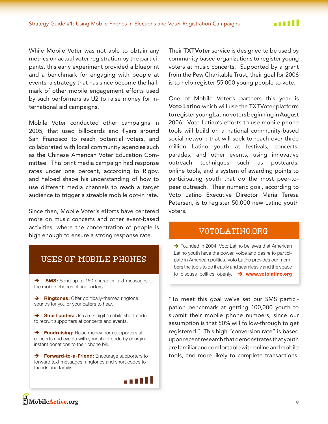While Mobile Voter was not able to obtain any metrics on actual voter registration by the participants, this early experiment provided a blueprint and a benchmark for engaging with people at events, a strategy that has since become the hallmark of other mobile engagement efforts used by such performers as U2 to raise money for international aid campaigns.

Mobile Voter conducted other campaigns in 2005, that used billboards and flyers around San Francisco to reach potential voters, and collaborated with local community agencies such as the Chinese American Voter Education Committee. This print media campaign had response rates under one percent, according to Rigby, and helped shape his understanding of how to use different media channels to reach a target audience to trigger a sizeable mobile opt-in rate.

Since then, Mobile Voter's efforts have centered more on music concerts and other event-based activities, where the concentration of people is high enough to ensure a strong response rate.

## USES OF MOBILE PHONES

**SMS:** Send up to 160 character text messages to  $\rightarrow$ the mobile phones of supporters.

> Ringtones: Offer politically-themed ringtone sounds for you or your callers to hear.

Short codes: Use a six-digit "mobile short code" to recruit supporters at concerts and events.

> Fundraising: Raise money from supporters at concerts and events with your short code by charging instant donations to their phone bill.

> Forward-to-a-Friend: Encourage supporters to forward text messages, ringtones and short codes to friends and family.



Their TXTVoter service is designed to be used by community based organizations to register young voters at music concerts. Supported by a grant from the Pew Charitable Trust, their goal for 2006 is to help register 55,000 young people to vote.

One of Mobile Voter's partners this year is Voto Latino which will use the TXTVoter platform to register young Latino voters beginning in August 2006. Voto Latino's efforts to use mobile phone tools will build on a national community-based social network that will seek to reach over three million Latino youth at festivals, concerts, parades, and other events, using innovative outreach techniques such as postcards, online tools, and a system of awarding points to participating youth that do the most peer-topeer outreach. Their numeric goal, according to Voto Latino Executive Director Maria Teresa Petersen, is to register 50,000 new Latino youth voters

## VOTOLATINO.ORG

> Founded in 2004, Voto Latino believes that American Latino youth have the power, voice and desire to participate in American politics. Voto Latino provides our members the tools to do it easily and seamlessly and the space to discuss politics openly.  $\rightarrow$  www.votolatino.org

"To meet this goal we've set our SMS participation benchmark at getting 100,000 youth to submit their mobile phone numbers, since our assumption is that 50% will follow-through to get registered." This high "conversion rate" is based upon recent research that demonstrates that youth are familiar and comfortable with online and mobile tools, and more likely to complete transactions.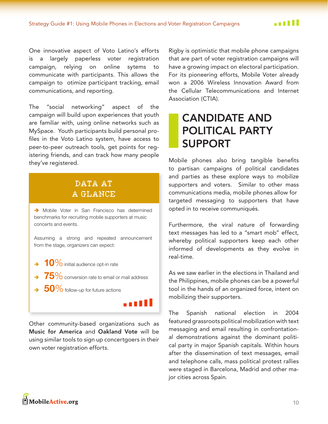One innovative aspect of Voto Latino's efforts is a largely paperless voter registration campaign, relying on online sytems to communicate with participants. This allows the campaign to otimize participant tracking, email communications, and reporting.

The "social networking" aspect of the campaign will build upon experiences that youth are familiar with, using online networks such as MySpace. Youth participants build personal profiles in the Voto Latino system, have access to peer-to-peer outreach tools, get points for registering friends, and can track how many people they've registered.

# DATA AT A GLANCE

> Mobile Voter in San Francisco has determined benchmarks for recruiting mobile supporters at music concerts and events.

Assuming a strong and repeated announcement from the stage, organizers can expect:

- $\rightarrow$  10% initial audience opt-in rate
- $\rightarrow$  75% conversion rate to email or mail address
- $\rightarrow$  50% follow-up for future actions

Other community-based organizations such as Music for America and Oakland Vote will be using similar tools to sign up concertgoers in their own voter registration efforts.

التبن

Rigby is optimistic that mobile phone campaigns that are part of voter registration campaigns will have a growing impact on electoral participation. For its pioneering efforts, Mobile Voter already won a 2006 Wireless Innovation Award from the Cellular Telecommunications and Internet Association (CTIA).

# <span id="page-10-0"></span>**CANDIDATE AND POLITICAL PARTY SUPPORT**

Mobile phones also bring tangible benefits to partisan campaigns of political candidates and parties as these explore ways to mobilize supporters and voters. Similar to other mass communications media, mobile phones allow for targeted messaging to supporters that have opted in to receive communiqués.

Furthermore, the viral nature of forwarding text messages has led to a "smart mob" effect, whereby political supporters keep each other informed of developments as they evolve in real-time.

As we saw earlier in the elections in Thailand and the Philippines, mobile phones can be a powerful tool in the hands of an organized force, intent on mobilizing their supporters.

Spanish national election in The 2004 featured grassroots political mobilization with text messaging and email resulting in confrontational demonstrations against the dominant political party in major Spanish capitals. Within hours after the dissemination of text messages, email and telephone calls, mass political protest rallies were staged in Barcelona, Madrid and other major cities across Spain.

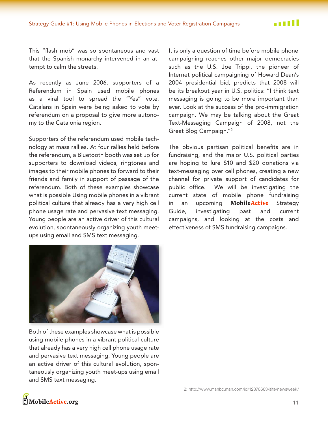This "flash mob" was so spontaneous and vast that the Spanish monarchy intervened in an attempt to calm the streets.

As recently as June 2006, supporters of a Referendum in Spain used mobile phones as a viral tool to spread the "Yes" vote. Catalans in Spain were being asked to vote by referendum on a proposal to give more autonomy to the Catalonia region.

Supporters of the referendum used mobile technology at mass rallies. At four rallies held before the referendum, a Bluetooth booth was set up for supporters to download videos, ringtones and images to their mobile phones to forward to their friends and family in support of passage of the referendum. Both of these examples showcase what is possible Using mobile phones in a vibrant political culture that already has a very high cell phone usage rate and pervasive text messaging. Young people are an active driver of this cultural evolution, spontaneously organizing youth meetups using email and SMS text messaging.

It is only a question of time before mobile phone campaigning reaches other major democracies such as the U.S. Joe Trippi, the pioneer of Internet political campaigning of Howard Dean's 2004 presidential bid, predicts that 2008 will be its breakout year in U.S. politics: "I think text messaging is going to be more important than ever. Look at the success of the pro-immigration campaign. We may be talking about the Great Text-Messaging Campaign of 2008, not the Great Blog Campaign."<sup>2</sup>

The obvious partisan political benefits are in fundraising, and the major U.S. political parties are hoping to lure \$10 and \$20 donations via text-messaging over cell phones, creating a new channel for private support of candidates for public office. We will be investigating the current state of mobile phone fundraising upcoming MobileActive in an Strategy Guide, investigating past and current campaigns, and looking at the costs and effectiveness of SMS fundraising campaigns.



Both of these examples showcase what is possible using mobile phones in a vibrant political culture that already has a very high cell phone usage rate and pervasive text messaging. Young people are an active driver of this cultural evolution, spontaneously organizing youth meet-ups using email and SMS text messaging.

2: http://www.msnbc.msn.com/jd/12876663/site/newsweek/